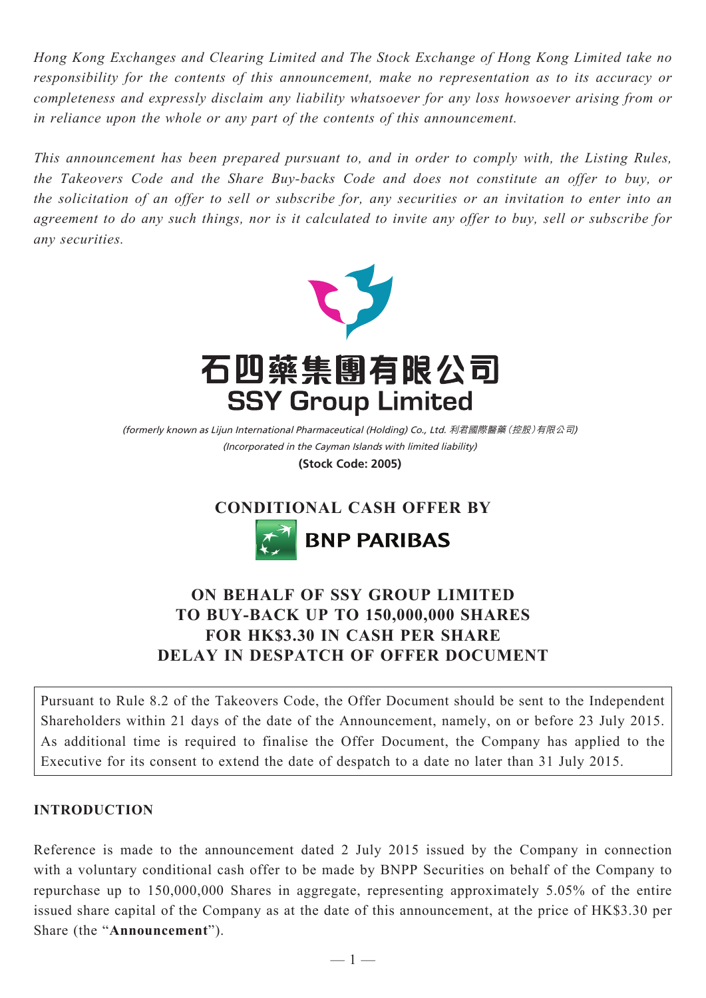*Hong Kong Exchanges and Clearing Limited and The Stock Exchange of Hong Kong Limited take no responsibility for the contents of this announcement, make no representation as to its accuracy or completeness and expressly disclaim any liability whatsoever for any loss howsoever arising from or in reliance upon the whole or any part of the contents of this announcement.*

*This announcement has been prepared pursuant to, and in order to comply with, the Listing Rules, the Takeovers Code and the Share Buy-backs Code and does not constitute an offer to buy, or the solicitation of an offer to sell or subscribe for, any securities or an invitation to enter into an agreement to do any such things, nor is it calculated to invite any offer to buy, sell or subscribe for any securities.*



(Incorporated in the Cayman Islands with limited liability) (formerly known as Lijun International Pharmaceutical (Holding) Co., Ltd. 利君國際醫藥(控股)有限公司)

**(Stock Code: 2005)**

**CONDITIONAL CASH OFFER BY**



## **ON BEHALF OF SSY GROUP LIMITED TO BUY-BACK UP TO 150,000,000 SHARES FOR HK\$3.30 IN CASH PER SHARE DELAY IN DESPATCH OF OFFER DOCUMENT**

Pursuant to Rule 8.2 of the Takeovers Code, the Offer Document should be sent to the Independent Shareholders within 21 days of the date of the Announcement, namely, on or before 23 July 2015. As additional time is required to finalise the Offer Document, the Company has applied to the Executive for its consent to extend the date of despatch to a date no later than 31 July 2015.

## **INTRODUCTION**

Reference is made to the announcement dated 2 July 2015 issued by the Company in connection with a voluntary conditional cash offer to be made by BNPP Securities on behalf of the Company to repurchase up to 150,000,000 Shares in aggregate, representing approximately 5.05% of the entire issued share capital of the Company as at the date of this announcement, at the price of HK\$3.30 per Share (the "**Announcement**").